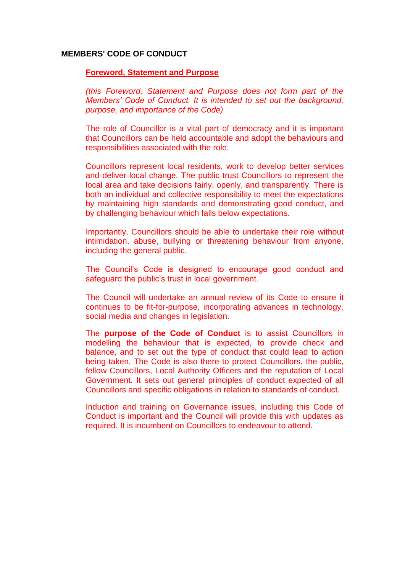#### **MEMBERS' CODE OF CONDUCT**

#### **Foreword, Statement and Purpose**

*(this Foreword, Statement and Purpose does not form part of the Members' Code of Conduct. It is intended to set out the background, purpose, and importance of the Code)*

The role of Councillor is a vital part of democracy and it is important that Councillors can be held accountable and adopt the behaviours and responsibilities associated with the role.

Councillors represent local residents, work to develop better services and deliver local change. The public trust Councillors to represent the local area and take decisions fairly, openly, and transparently. There is both an individual and collective responsibility to meet the expectations by maintaining high standards and demonstrating good conduct, and by challenging behaviour which falls below expectations.

Importantly, Councillors should be able to undertake their role without intimidation, abuse, bullying or threatening behaviour from anyone, including the general public.

The Council's Code is designed to encourage good conduct and safeguard the public's trust in local government.

The Council will undertake an annual review of its Code to ensure it continues to be fit-for-purpose, incorporating advances in technology, social media and changes in legislation.

The **purpose of the Code of Conduct** is to assist Councillors in modelling the behaviour that is expected, to provide check and balance, and to set out the type of conduct that could lead to action being taken. The Code is also there to protect Councillors, the public, fellow Councillors, Local Authority Officers and the reputation of Local Government. It sets out general principles of conduct expected of all Councillors and specific obligations in relation to standards of conduct.

Induction and training on Governance issues, including this Code of Conduct is important and the Council will provide this with updates as required. It is incumbent on Councillors to endeavour to attend.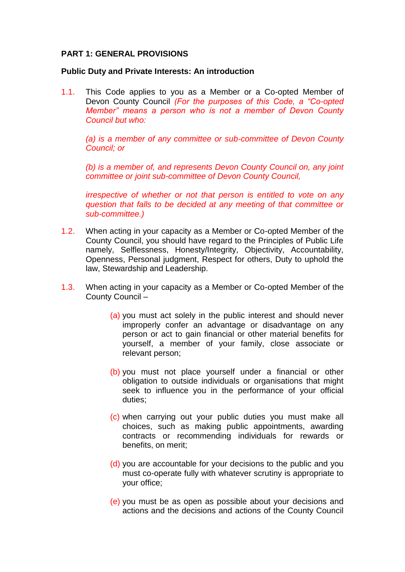### **PART 1: GENERAL PROVISIONS**

#### **Public Duty and Private Interests: An introduction**

1.1. This Code applies to you as a Member or a Co-opted Member of Devon County Council *(For the purposes of this Code, a "Co-opted Member" means a person who is not a member of Devon County Council but who:*

*(a) is a member of any committee or sub-committee of Devon County Council; or*

*(b) is a member of, and represents Devon County Council on, any joint committee or joint sub-committee of Devon County Council,*

*irrespective of whether or not that person is entitled to vote on any question that falls to be decided at any meeting of that committee or sub-committee.)*

- 1.2. When acting in your capacity as a Member or Co-opted Member of the County Council, you should have regard to the Principles of Public Life namely, Selflessness, Honesty/Integrity, Objectivity, Accountability, Openness, Personal judgment, Respect for others, Duty to uphold the law, Stewardship and Leadership.
- 1.3. When acting in your capacity as a Member or Co-opted Member of the County Council –
	- (a) you must act solely in the public interest and should never improperly confer an advantage or disadvantage on any person or act to gain financial or other material benefits for yourself, a member of your family, close associate or relevant person;
	- (b) you must not place yourself under a financial or other obligation to outside individuals or organisations that might seek to influence you in the performance of your official duties;
	- (c) when carrying out your public duties you must make all choices, such as making public appointments, awarding contracts or recommending individuals for rewards or benefits, on merit;
	- (d) you are accountable for your decisions to the public and you must co-operate fully with whatever scrutiny is appropriate to your office;
	- (e) you must be as open as possible about your decisions and actions and the decisions and actions of the County Council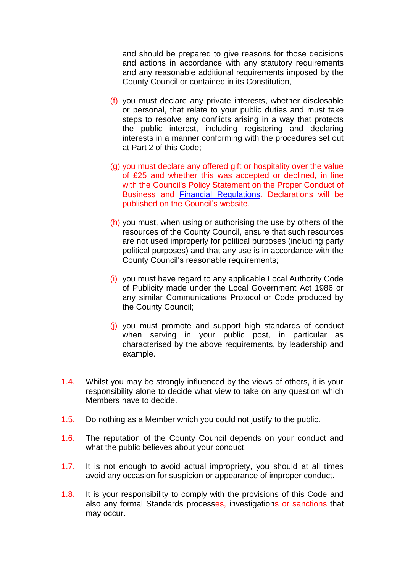and should be prepared to give reasons for those decisions and actions in accordance with any statutory requirements and any reasonable additional requirements imposed by the County Council or contained in its Constitution,

- (f) you must declare any private interests, whether disclosable or personal, that relate to your public duties and must take steps to resolve any conflicts arising in a way that protects the public interest, including registering and declaring interests in a manner conforming with the procedures set out at Part 2 of this Code;
- (g) you must declare any offered gift or hospitality over the value of £25 and whether this was accepted or declined, in line with the Council's Policy Statement on the Proper Conduct of Business and [Financial Regulations.](https://democracy.devon.gov.uk/documents/s39135/Constitution%20-%20Part%205c%20Code%20of%20Business%20Conduct%20Financial%20Regulations.pdf) Declarations will be published on the Council's website.
- (h) you must, when using or authorising the use by others of the resources of the County Council, ensure that such resources are not used improperly for political purposes (including party political purposes) and that any use is in accordance with the County Council's reasonable requirements;
- (i) you must have regard to any applicable Local Authority Code of Publicity made under the Local Government Act 1986 or any similar Communications Protocol or Code produced by the County Council;
- (j) you must promote and support high standards of conduct when serving in your public post, in particular as characterised by the above requirements, by leadership and example.
- 1.4. Whilst you may be strongly influenced by the views of others, it is your responsibility alone to decide what view to take on any question which Members have to decide.
- 1.5. Do nothing as a Member which you could not justify to the public.
- 1.6. The reputation of the County Council depends on your conduct and what the public believes about your conduct.
- 1.7. It is not enough to avoid actual impropriety, you should at all times avoid any occasion for suspicion or appearance of improper conduct.
- 1.8. It is your responsibility to comply with the provisions of this Code and also any formal Standards processes, investigations or sanctions that may occur.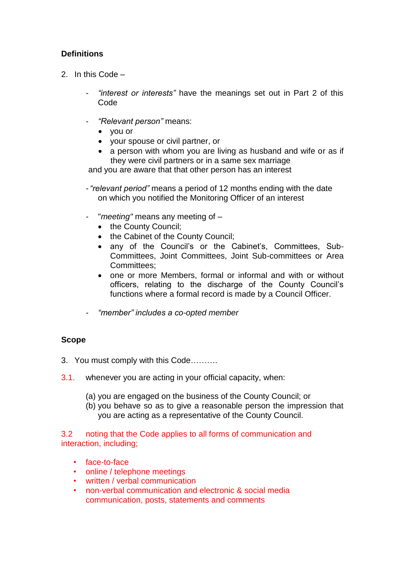# **Definitions**

- 2. In this Code
	- *- "interest or interests"* have the meanings set out in Part 2 of this Code
	- *- "Relevant person"* means:
		- you or
		- your spouse or civil partner, or
		- a person with whom you are living as husband and wife or as if they were civil partners or in a same sex marriage

and you are aware that that other person has an interest

- *- "relevant period"* means a period of 12 months ending with the date on which you notified the Monitoring Officer of an interest
- *-* "*meeting"* means any meeting of
	- the County Council;
	- the Cabinet of the County Council;
	- any of the Council's or the Cabinet's, Committees, Sub-Committees, Joint Committees, Joint Sub-committees or Area Committees;
	- one or more Members, formal or informal and with or without officers, relating to the discharge of the County Council's functions where a formal record is made by a Council Officer.
- *- "member" includes a co-opted member*

## **Scope**

- 3. You must comply with this Code……….
- 3.1. whenever you are acting in your official capacity, when:
	- (a) you are engaged on the business of the County Council; or
	- (b) you behave so as to give a reasonable person the impression that you are acting as a representative of the County Council.

3.2 noting that the Code applies to all forms of communication and interaction, including;

- face-to-face
- online / telephone meetings
- written / verbal communication
- non-verbal communication and electronic & social media communication, posts, statements and comments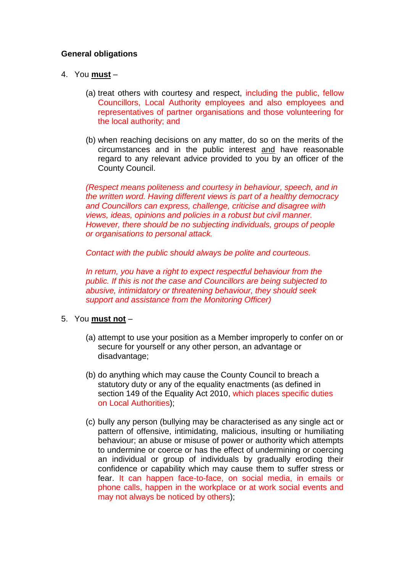### **General obligations**

- 4. You **must**
	- (a) treat others with courtesy and respect, including the public, fellow Councillors, Local Authority employees and also employees and representatives of partner organisations and those volunteering for the local authority; and
	- (b) when reaching decisions on any matter, do so on the merits of the circumstances and in the public interest and have reasonable regard to any relevant advice provided to you by an officer of the County Council.

*(Respect means politeness and courtesy in behaviour, speech, and in the written word. Having different views is part of a healthy democracy and Councillors can express, challenge, criticise and disagree with views, ideas, opinions and policies in a robust but civil manner. However, there should be no subjecting individuals, groups of people or organisations to personal attack.*

*Contact with the public should always be polite and courteous.*

*In return, you have a right to expect respectful behaviour from the public. If this is not the case and Councillors are being subjected to abusive, intimidatory or threatening behaviour, they should seek support and assistance from the Monitoring Officer)* 

### 5. You **must not** –

- (a) attempt to use your position as a Member improperly to confer on or secure for yourself or any other person, an advantage or disadvantage;
- (b) do anything which may cause the County Council to breach a statutory duty or any of the equality enactments (as defined in section 149 of the Equality Act 2010, which places specific duties on Local Authorities);
- (c) bully any person (bullying may be characterised as any single act or pattern of offensive, intimidating, malicious, insulting or humiliating behaviour; an abuse or misuse of power or authority which attempts to undermine or coerce or has the effect of undermining or coercing an individual or group of individuals by gradually eroding their confidence or capability which may cause them to suffer stress or fear. It can happen face-to-face, on social media, in emails or phone calls, happen in the workplace or at work social events and may not always be noticed by others);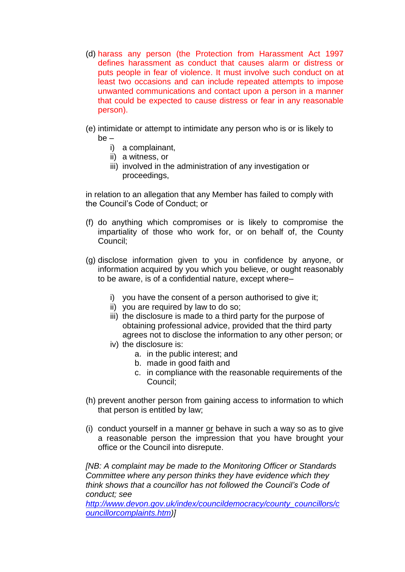- (d) harass any person (the Protection from Harassment Act 1997 defines harassment as conduct that causes alarm or distress or puts people in fear of violence. It must involve such conduct on at least two occasions and can include repeated attempts to impose unwanted communications and contact upon a person in a manner that could be expected to cause distress or fear in any reasonable person).
- (e) intimidate or attempt to intimidate any person who is or is likely to be –
	- i) a complainant,
	- ii) a witness, or
	- iii) involved in the administration of any investigation or proceedings,

in relation to an allegation that any Member has failed to comply with the Council's Code of Conduct; or

- (f) do anything which compromises or is likely to compromise the impartiality of those who work for, or on behalf of, the County Council;
- (g) disclose information given to you in confidence by anyone, or information acquired by you which you believe, or ought reasonably to be aware, is of a confidential nature, except where–
	- i) you have the consent of a person authorised to give it;
	- ii) you are required by law to do so;
	- iii) the disclosure is made to a third party for the purpose of obtaining professional advice, provided that the third party agrees not to disclose the information to any other person; or
	- iv) the disclosure is:
		- a. in the public interest; and
		- b. made in good faith and
		- c. in compliance with the reasonable requirements of the Council;
- (h) prevent another person from gaining access to information to which that person is entitled by law;
- (i) conduct yourself in a manner or behave in such a way so as to give a reasonable person the impression that you have brought your office or the Council into disrepute.

*[NB: A complaint may be made to the Monitoring Officer or Standards Committee where any person thinks they have evidence which they think shows that a councillor has not followed the Council's Code of conduct; see* 

*[http://www.devon.gov.uk/index/councildemocracy/county\\_councillors/c](http://www.devon.gov.uk/index/councildemocracy/county_councillors/councillorcomplaints.htm) [ouncillorcomplaints.htm\)](http://www.devon.gov.uk/index/councildemocracy/county_councillors/councillorcomplaints.htm)]*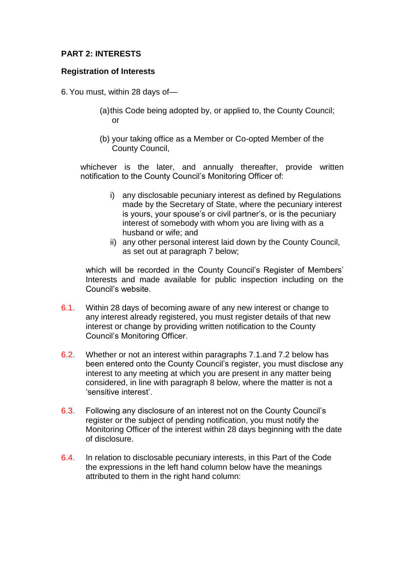### **PART 2: INTERESTS**

### **Registration of Interests**

- 6.You must, within 28 days of—
	- (a)this Code being adopted by, or applied to, the County Council; or
	- (b) your taking office as a Member or Co-opted Member of the County Council,

whichever is the later, and annually thereafter, provide written notification to the County Council's Monitoring Officer of:

- i) any disclosable pecuniary interest as defined by Regulations made by the Secretary of State, where the pecuniary interest is yours, your spouse's or civil partner's, or is the pecuniary interest of somebody with whom you are living with as a husband or wife; and
- ii) any other personal interest laid down by the County Council, as set out at paragraph 7 below;

which will be recorded in the County Council's Register of Members' Interests and made available for public inspection including on the Council's website.

- 6.1. Within 28 days of becoming aware of any new interest or change to any interest already registered, you must register details of that new interest or change by providing written notification to the County Council's Monitoring Officer.
- 6.2. Whether or not an interest within paragraphs 7.1.and 7.2 below has been entered onto the County Council's register, you must disclose any interest to any meeting at which you are present in any matter being considered, in line with paragraph 8 below, where the matter is not a 'sensitive interest'.
- 6.3. Following any disclosure of an interest not on the County Council's register or the subject of pending notification, you must notify the Monitoring Officer of the interest within 28 days beginning with the date of disclosure.
- 6.4. In relation to disclosable pecuniary interests, in this Part of the Code the expressions in the left hand column below have the meanings attributed to them in the right hand column: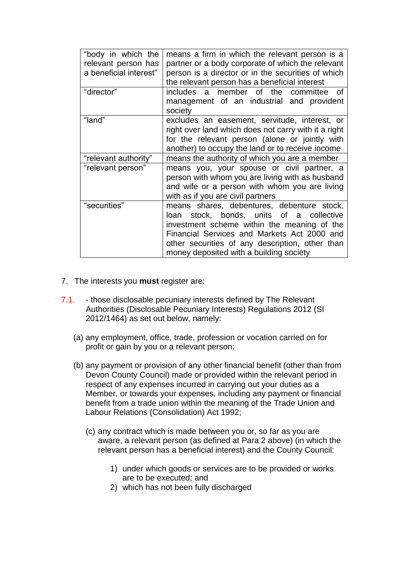| "body in which the<br>relevant person has<br>a beneficial interest" | means a firm in which the relevant person is a<br>partner or a body corporate of which the relevant<br>person is a director or in the securities of which<br>the relevant person has a beneficial interest                                                                         |
|---------------------------------------------------------------------|------------------------------------------------------------------------------------------------------------------------------------------------------------------------------------------------------------------------------------------------------------------------------------|
| "director"                                                          | includes a member of the committee of<br>management of an industrial and provident<br>society                                                                                                                                                                                      |
| "land"                                                              | excludes an easement, servitude, interest, or<br>right over land which does not carry with it a right<br>for the relevant person (alone or jointly with<br>another) to occupy the land or to receive income                                                                        |
| "relevant authority"                                                | means the authority of which you are a member                                                                                                                                                                                                                                      |
| "relevant person"                                                   | means you, your spouse or civil partner, a<br>person with whom you are living with as husband<br>and wife or a person with whom you are living<br>with as if you are civil partners                                                                                                |
| "securities"                                                        | means shares, debentures, debenture stock,<br>loan stock, bonds, units of a collective<br>investment scheme within the meaning of the<br>Financial Services and Markets Act 2000 and<br>other securities of any description, other than<br>money deposited with a building society |

- 7. The interests you **must** register are:
- 7.1. those disclosable pecuniary interests defined by The Relevant Authorities (Disclosable Pecuniary Interests) Regulations 2012 (SI 2012/1464) as set out below, namely:
	- (a) any employment, office, trade, profession or vocation carried on for profit or gain by you or a relevant person;
	- (b) any payment or provision of any other financial benefit (other than from Devon County Council) made or provided within the relevant period in respect of any expenses incurred in carrying out your duties as a Member, or towards your expenses, including any payment or financial benefit from a trade union within the meaning of the Trade Union and Labour Relations (Consolidation) Act 1992;
		- (c) any contract which is made between you or, so far as you are aware, a relevant person (as defined at Para 2 above) (in which the relevant person has a beneficial interest) and the County Council:
			- 1) under which goods or services are to be provided or works are to be executed; and
			- 2) which has not been fully discharged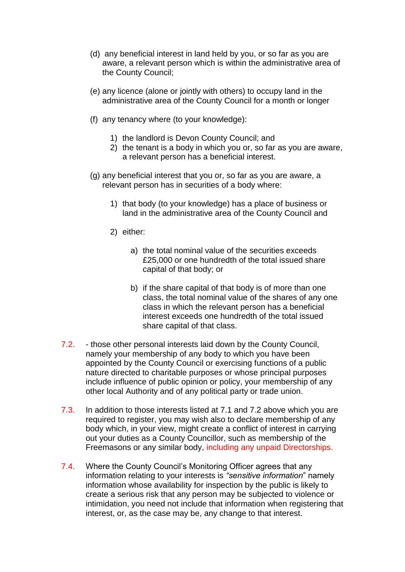- (d) any beneficial interest in land held by you, or so far as you are aware, a relevant person which is within the administrative area of the County Council;
- (e) any licence (alone or jointly with others) to occupy land in the administrative area of the County Council for a month or longer
- (f) any tenancy where (to your knowledge):
	- 1) the landlord is Devon County Council; and
	- 2) the tenant is a body in which you or, so far as you are aware, a relevant person has a beneficial interest.
- (g) any beneficial interest that you or, so far as you are aware, a relevant person has in securities of a body where:
	- 1) that body (to your knowledge) has a place of business or land in the administrative area of the County Council and
	- 2) either:
		- a) the total nominal value of the securities exceeds £25,000 or one hundredth of the total issued share capital of that body; or
		- b) if the share capital of that body is of more than one class, the total nominal value of the shares of any one class in which the relevant person has a beneficial interest exceeds one hundredth of the total issued share capital of that class.
- 7.2. those other personal interests laid down by the County Council, namely your membership of any body to which you have been appointed by the County Council or exercising functions of a public nature directed to charitable purposes or whose principal purposes include influence of public opinion or policy, your membership of any other local Authority and of any political party or trade union.
- 7.3. In addition to those interests listed at 7.1 and 7.2 above which you are required to register, you may wish also to declare membership of any body which, in your view, might create a conflict of interest in carrying out your duties as a County Councillor, such as membership of the Freemasons or any similar body, including any unpaid Directorships.
- 7.4. Where the County Council's Monitoring Officer agrees that any information relating to your interests is *"sensitive information*" namely information whose availability for inspection by the public is likely to create a serious risk that any person may be subjected to violence or intimidation, you need not include that information when registering that interest, or, as the case may be, any change to that interest.